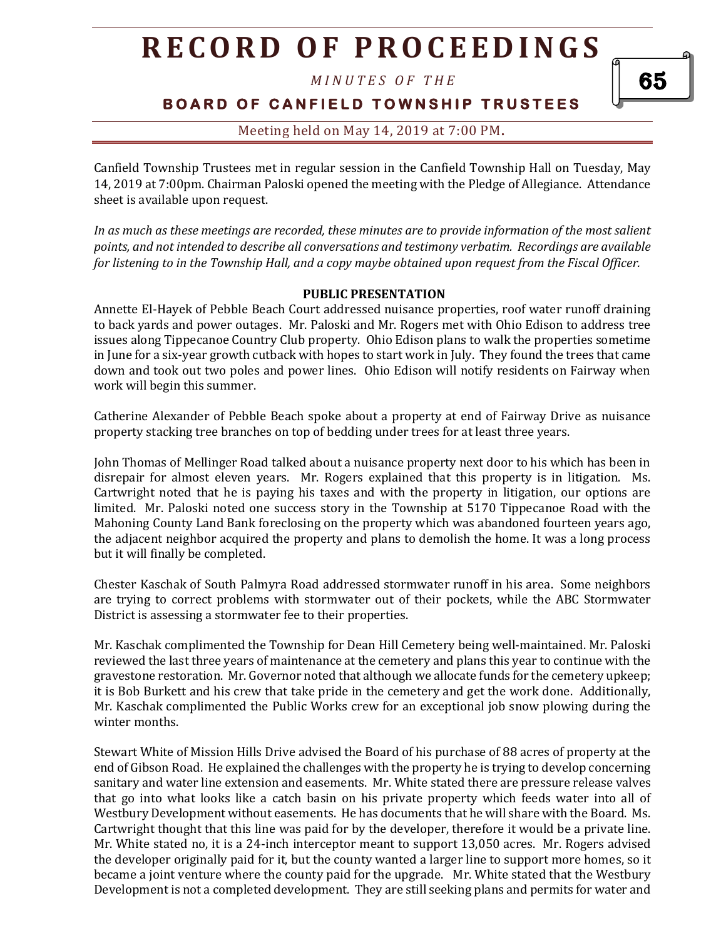*M I N U T E S O F T H E* 

65

**BOARD OF CANFIELD TOWNSHIP TRUSTEES** 

### Meeting held on May 14, 2019 at 7:00 PM**.**

Canfield Township Trustees met in regular session in the Canfield Township Hall on Tuesday, May 14, 2019 at 7:00pm. Chairman Paloski opened the meeting with the Pledge of Allegiance. Attendance sheet is available upon request.

*In as much as these meetings are recorded, these minutes are to provide information of the most salient points, and not intended to describe all conversations and testimony verbatim. Recordings are available for listening to in the Township Hall, and a copy maybe obtained upon request from the Fiscal Officer.* 

#### **PUBLIC PRESENTATION**

Annette El-Hayek of Pebble Beach Court addressed nuisance properties, roof water runoff draining to back yards and power outages. Mr. Paloski and Mr. Rogers met with Ohio Edison to address tree issues along Tippecanoe Country Club property. Ohio Edison plans to walk the properties sometime in June for a six-year growth cutback with hopes to start work in July. They found the trees that came down and took out two poles and power lines. Ohio Edison will notify residents on Fairway when work will begin this summer.

Catherine Alexander of Pebble Beach spoke about a property at end of Fairway Drive as nuisance property stacking tree branches on top of bedding under trees for at least three years.

John Thomas of Mellinger Road talked about a nuisance property next door to his which has been in disrepair for almost eleven years. Mr. Rogers explained that this property is in litigation. Ms. Cartwright noted that he is paying his taxes and with the property in litigation, our options are limited. Mr. Paloski noted one success story in the Township at 5170 Tippecanoe Road with the Mahoning County Land Bank foreclosing on the property which was abandoned fourteen years ago, the adjacent neighbor acquired the property and plans to demolish the home. It was a long process but it will finally be completed.

Chester Kaschak of South Palmyra Road addressed stormwater runoff in his area. Some neighbors are trying to correct problems with stormwater out of their pockets, while the ABC Stormwater District is assessing a stormwater fee to their properties.

Mr. Kaschak complimented the Township for Dean Hill Cemetery being well-maintained. Mr. Paloski reviewed the last three years of maintenance at the cemetery and plans this year to continue with the gravestone restoration. Mr. Governor noted that although we allocate funds for the cemetery upkeep; it is Bob Burkett and his crew that take pride in the cemetery and get the work done. Additionally, Mr. Kaschak complimented the Public Works crew for an exceptional job snow plowing during the winter months.

Stewart White of Mission Hills Drive advised the Board of his purchase of 88 acres of property at the end of Gibson Road. He explained the challenges with the property he is trying to develop concerning sanitary and water line extension and easements. Mr. White stated there are pressure release valves that go into what looks like a catch basin on his private property which feeds water into all of Westbury Development without easements. He has documents that he will share with the Board. Ms. Cartwright thought that this line was paid for by the developer, therefore it would be a private line. Mr. White stated no, it is a 24-inch interceptor meant to support 13,050 acres. Mr. Rogers advised the developer originally paid for it, but the county wanted a larger line to support more homes, so it became a joint venture where the county paid for the upgrade. Mr. White stated that the Westbury Development is not a completed development. They are still seeking plans and permits for water and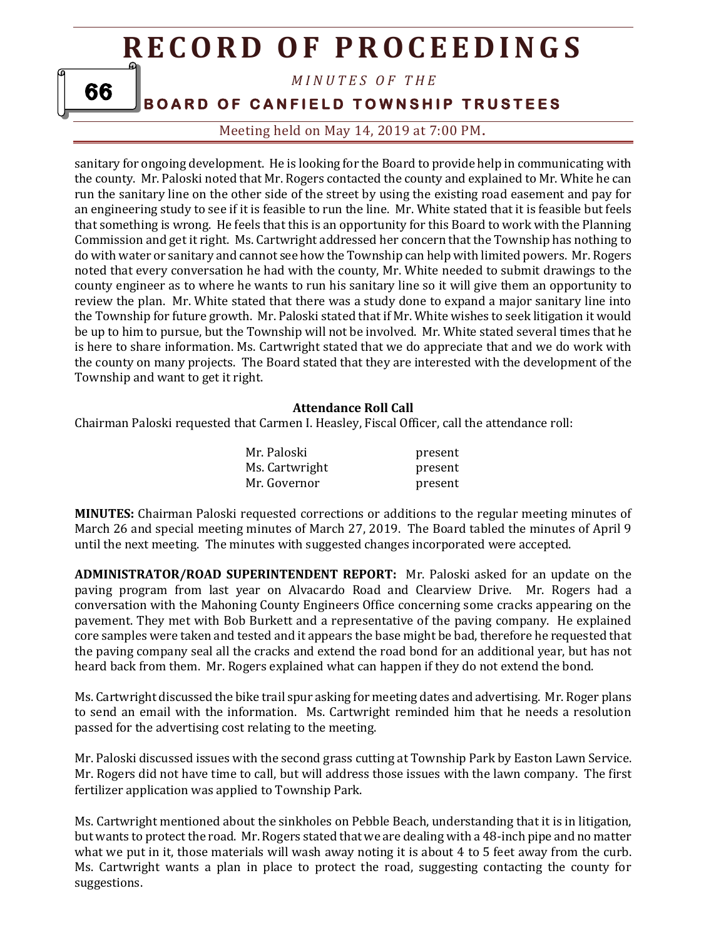*M I N U T E S O F T H E* 

**BOARD OF CANFIELD TOWNSHIP TRUSTEES** 

Meeting held on May 14, 2019 at 7:00 PM**.**

sanitary for ongoing development. He is looking for the Board to provide help in communicating with the county. Mr. Paloski noted that Mr. Rogers contacted the county and explained to Mr. White he can run the sanitary line on the other side of the street by using the existing road easement and pay for an engineering study to see if it is feasible to run the line. Mr. White stated that it is feasible but feels that something is wrong. He feels that this is an opportunity for this Board to work with the Planning Commission and get it right. Ms. Cartwright addressed her concern that the Township has nothing to do with water or sanitary and cannot see how the Township can help with limited powers. Mr. Rogers noted that every conversation he had with the county, Mr. White needed to submit drawings to the county engineer as to where he wants to run his sanitary line so it will give them an opportunity to review the plan. Mr. White stated that there was a study done to expand a major sanitary line into the Township for future growth. Mr. Paloski stated that if Mr. White wishes to seek litigation it would be up to him to pursue, but the Township will not be involved. Mr. White stated several times that he is here to share information. Ms. Cartwright stated that we do appreciate that and we do work with the county on many projects. The Board stated that they are interested with the development of the Township and want to get it right.

#### **Attendance Roll Call**

Chairman Paloski requested that Carmen I. Heasley, Fiscal Officer, call the attendance roll:

| Mr. Paloski    | present |
|----------------|---------|
| Ms. Cartwright | present |
| Mr. Governor   | present |

**MINUTES:** Chairman Paloski requested corrections or additions to the regular meeting minutes of March 26 and special meeting minutes of March 27, 2019. The Board tabled the minutes of April 9 until the next meeting. The minutes with suggested changes incorporated were accepted.

**ADMINISTRATOR/ROAD SUPERINTENDENT REPORT:** Mr. Paloski asked for an update on the paving program from last year on Alvacardo Road and Clearview Drive. Mr. Rogers had a conversation with the Mahoning County Engineers Office concerning some cracks appearing on the pavement. They met with Bob Burkett and a representative of the paving company. He explained core samples were taken and tested and it appears the base might be bad, therefore he requested that the paving company seal all the cracks and extend the road bond for an additional year, but has not heard back from them. Mr. Rogers explained what can happen if they do not extend the bond.

Ms. Cartwright discussed the bike trail spur asking for meeting dates and advertising. Mr. Roger plans to send an email with the information. Ms. Cartwright reminded him that he needs a resolution passed for the advertising cost relating to the meeting.

Mr. Paloski discussed issues with the second grass cutting at Township Park by Easton Lawn Service. Mr. Rogers did not have time to call, but will address those issues with the lawn company. The first fertilizer application was applied to Township Park.

Ms. Cartwright mentioned about the sinkholes on Pebble Beach, understanding that it is in litigation, but wants to protect the road. Mr. Rogers stated that we are dealing with a 48-inch pipe and no matter what we put in it, those materials will wash away noting it is about 4 to 5 feet away from the curb. Ms. Cartwright wants a plan in place to protect the road, suggesting contacting the county for suggestions.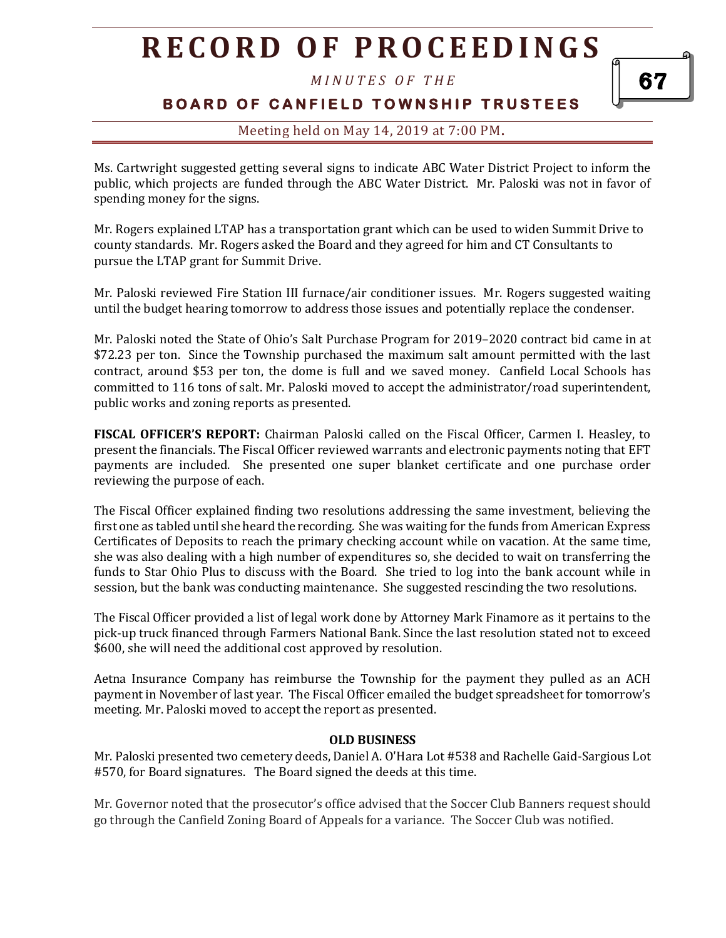*M I N U T E S O F T H E* 

### **BOARD OF CANFIELD TOWNSHIP TRUSTEES**

### Meeting held on May 14, 2019 at 7:00 PM**.**

Ms. Cartwright suggested getting several signs to indicate ABC Water District Project to inform the public, which projects are funded through the ABC Water District. Mr. Paloski was not in favor of spending money for the signs.

Mr. Rogers explained LTAP has a transportation grant which can be used to widen Summit Drive to county standards. Mr. Rogers asked the Board and they agreed for him and CT Consultants to pursue the LTAP grant for Summit Drive.

Mr. Paloski reviewed Fire Station III furnace/air conditioner issues. Mr. Rogers suggested waiting until the budget hearing tomorrow to address those issues and potentially replace the condenser.

Mr. Paloski noted the State of Ohio's Salt Purchase Program for 2019–2020 contract bid came in at \$72.23 per ton. Since the Township purchased the maximum salt amount permitted with the last contract, around \$53 per ton, the dome is full and we saved money. Canfield Local Schools has committed to 116 tons of salt. Mr. Paloski moved to accept the administrator/road superintendent, public works and zoning reports as presented.

**FISCAL OFFICER'S REPORT:** Chairman Paloski called on the Fiscal Officer, Carmen I. Heasley, to present the financials. The Fiscal Officer reviewed warrants and electronic payments noting that EFT payments are included. She presented one super blanket certificate and one purchase order reviewing the purpose of each.

The Fiscal Officer explained finding two resolutions addressing the same investment, believing the first one as tabled until she heard the recording. She was waiting for the funds from American Express Certificates of Deposits to reach the primary checking account while on vacation. At the same time, she was also dealing with a high number of expenditures so, she decided to wait on transferring the funds to Star Ohio Plus to discuss with the Board. She tried to log into the bank account while in session, but the bank was conducting maintenance. She suggested rescinding the two resolutions.

The Fiscal Officer provided a list of legal work done by Attorney Mark Finamore as it pertains to the pick-up truck financed through Farmers National Bank. Since the last resolution stated not to exceed \$600, she will need the additional cost approved by resolution.

Aetna Insurance Company has reimburse the Township for the payment they pulled as an ACH payment in November of last year. The Fiscal Officer emailed the budget spreadsheet for tomorrow's meeting. Mr. Paloski moved to accept the report as presented.

#### **OLD BUSINESS**

Mr. Paloski presented two cemetery deeds, Daniel A. O'Hara Lot #538 and Rachelle Gaid-Sargious Lot #570, for Board signatures. The Board signed the deeds at this time.

Mr. Governor noted that the prosecutor's office advised that the Soccer Club Banners request should go through the Canfield Zoning Board of Appeals for a variance. The Soccer Club was notified.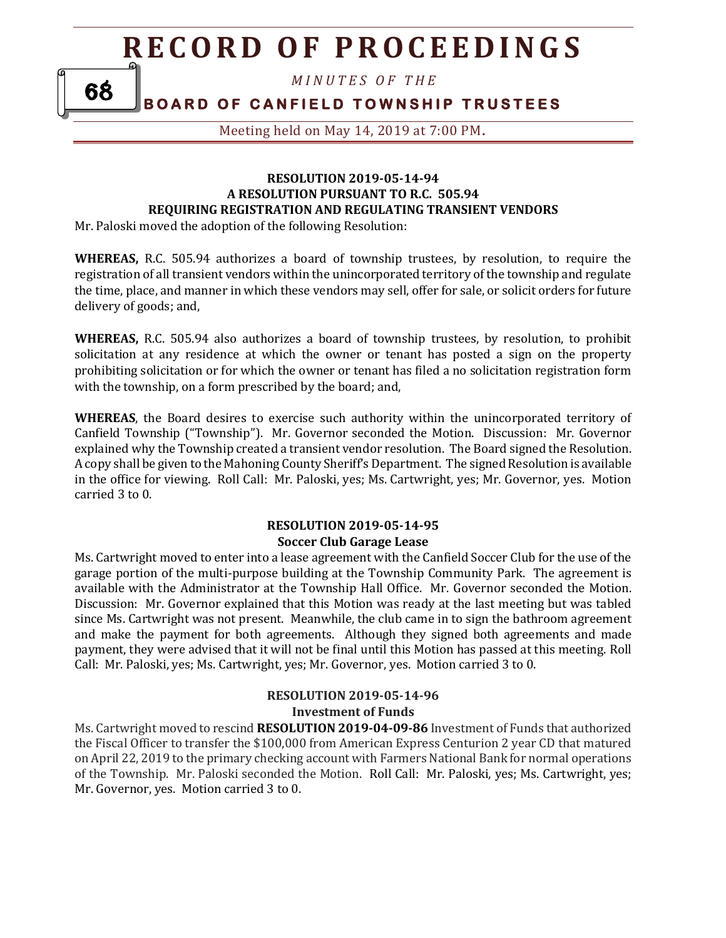*M I N U T E S O F T H E* 

**BOARD OF CANFIELD TOWNSHIP TRUSTEES** 

Meeting held on May 14, 2019 at 7:00 PM**.**

#### **RESOLUTION 2019-05-14-94 A RESOLUTION PURSUANT TO R.C. 505.94 REQUIRING REGISTRATION AND REGULATING TRANSIENT VENDORS**

Mr. Paloski moved the adoption of the following Resolution:

**WHEREAS,** R.C. 505.94 authorizes a board of township trustees, by resolution, to require the registration of all transient vendors within the unincorporated territory of the township and regulate the time, place, and manner in which these vendors may sell, offer for sale, or solicit orders for future delivery of goods; and,

**WHEREAS,** R.C. 505.94 also authorizes a board of township trustees, by resolution, to prohibit solicitation at any residence at which the owner or tenant has posted a sign on the property prohibiting solicitation or for which the owner or tenant has filed a no solicitation registration form with the township, on a form prescribed by the board; and,

**WHEREAS**, the Board desires to exercise such authority within the unincorporated territory of Canfield Township ("Township"). Mr. Governor seconded the Motion. Discussion: Mr. Governor explained why the Township created a transient vendor resolution. The Board signed the Resolution. A copy shall be given to the Mahoning County Sheriff's Department. The signed Resolution is available in the office for viewing. Roll Call: Mr. Paloski, yes; Ms. Cartwright, yes; Mr. Governor, yes. Motion carried 3 to 0.

#### **RESOLUTION 2019-05-14-95 Soccer Club Garage Lease**

Ms. Cartwright moved to enter into a lease agreement with the Canfield Soccer Club for the use of the garage portion of the multi-purpose building at the Township Community Park. The agreement is available with the Administrator at the Township Hall Office. Mr. Governor seconded the Motion. Discussion: Mr. Governor explained that this Motion was ready at the last meeting but was tabled since Ms. Cartwright was not present. Meanwhile, the club came in to sign the bathroom agreement and make the payment for both agreements. Although they signed both agreements and made payment, they were advised that it will not be final until this Motion has passed at this meeting. Roll Call: Mr. Paloski, yes; Ms. Cartwright, yes; Mr. Governor, yes. Motion carried 3 to 0.

#### **RESOLUTION 2019-05-14-96 Investment of Funds**

Ms. Cartwright moved to rescind **RESOLUTION 2019-04-09-86** Investment of Funds that authorized the Fiscal Officer to transfer the \$100,000 from American Express Centurion 2 year CD that matured on April 22, 2019 to the primary checking account with Farmers National Bank for normal operations of the Township. Mr. Paloski seconded the Motion. Roll Call: Mr. Paloski, yes; Ms. Cartwright, yes; Mr. Governor, yes. Motion carried 3 to 0.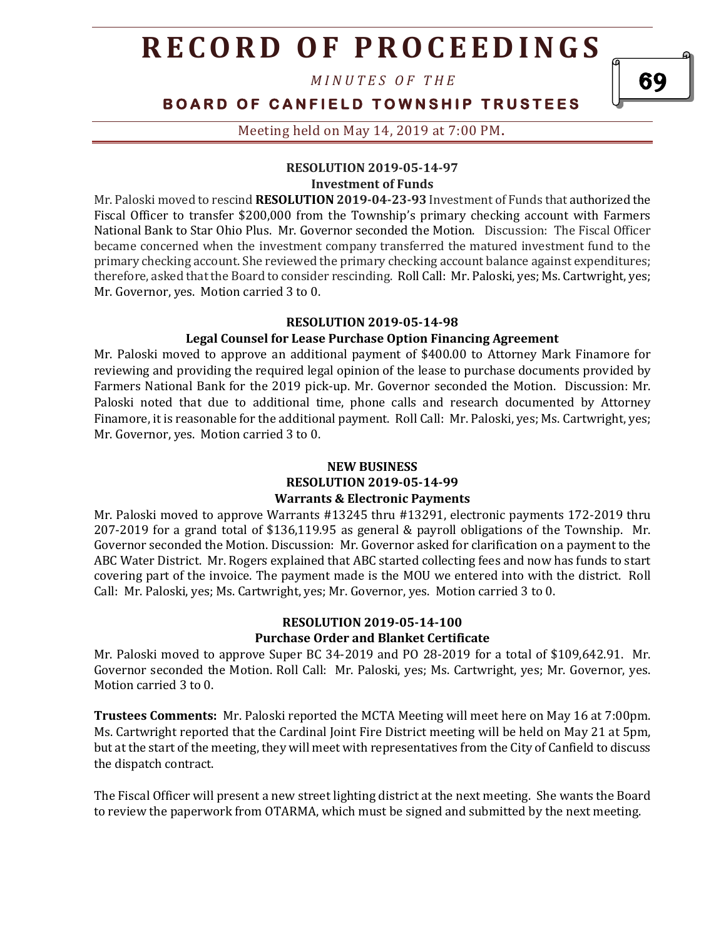*M I N U T E S O F T H E* 

## **BOARD OF CANFIELD TOWNSHIP TRUSTEES**

#### Meeting held on May 14, 2019 at 7:00 PM**.**

#### **RESOLUTION 2019-05-14-97 Investment of Funds**

Mr. Paloski moved to rescind **RESOLUTION 2019-04-23-93** Investment of Funds that authorized the Fiscal Officer to transfer \$200,000 from the Township's primary checking account with Farmers National Bank to Star Ohio Plus. Mr. Governor seconded the Motion. Discussion: The Fiscal Officer became concerned when the investment company transferred the matured investment fund to the primary checking account. She reviewed the primary checking account balance against expenditures; therefore, asked that the Board to consider rescinding. Roll Call: Mr. Paloski, yes; Ms. Cartwright, yes; Mr. Governor, yes. Motion carried 3 to 0.

#### **RESOLUTION 2019-05-14-98**

#### **Legal Counsel for Lease Purchase Option Financing Agreement**

Mr. Paloski moved to approve an additional payment of \$400.00 to Attorney Mark Finamore for reviewing and providing the required legal opinion of the lease to purchase documents provided by Farmers National Bank for the 2019 pick-up. Mr. Governor seconded the Motion. Discussion: Mr. Paloski noted that due to additional time, phone calls and research documented by Attorney Finamore, it is reasonable for the additional payment. Roll Call: Mr. Paloski, yes; Ms. Cartwright, yes; Mr. Governor, yes. Motion carried 3 to 0.

#### **NEW BUSINESS RESOLUTION 2019-05-14-99 Warrants & Electronic Payments**

Mr. Paloski moved to approve Warrants #13245 thru #13291, electronic payments 172-2019 thru 207-2019 for a grand total of \$136,119.95 as general & payroll obligations of the Township. Mr. Governor seconded the Motion. Discussion: Mr. Governor asked for clarification on a payment to the ABC Water District. Mr. Rogers explained that ABC started collecting fees and now has funds to start covering part of the invoice. The payment made is the MOU we entered into with the district. Roll Call: Mr. Paloski, yes; Ms. Cartwright, yes; Mr. Governor, yes. Motion carried 3 to 0.

#### **RESOLUTION 2019-05-14-100 Purchase Order and Blanket Certificate**

Mr. Paloski moved to approve Super BC 34-2019 and PO 28-2019 for a total of \$109,642.91. Mr. Governor seconded the Motion. Roll Call: Mr. Paloski, yes; Ms. Cartwright, yes; Mr. Governor, yes. Motion carried 3 to 0.

**Trustees Comments:** Mr. Paloski reported the MCTA Meeting will meet here on May 16 at 7:00pm. Ms. Cartwright reported that the Cardinal Joint Fire District meeting will be held on May 21 at 5pm, but at the start of the meeting, they will meet with representatives from the City of Canfield to discuss the dispatch contract.

The Fiscal Officer will present a new street lighting district at the next meeting. She wants the Board to review the paperwork from OTARMA, which must be signed and submitted by the next meeting.